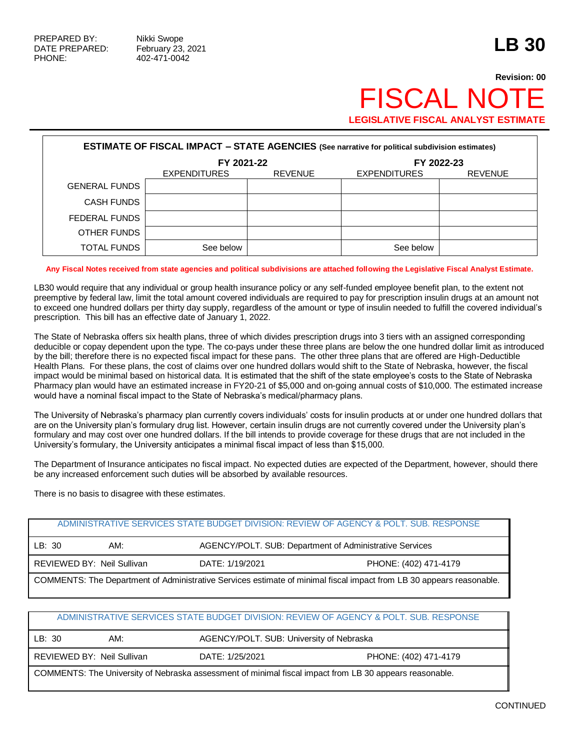## **Revision: 00** FISCAL NO **LEGISLATIVE FISCAL ANALYST ESTIMATE**

| <b>ESTIMATE OF FISCAL IMPACT - STATE AGENCIES (See narrative for political subdivision estimates)</b> |                                       |  |                     |                |  |  |  |
|-------------------------------------------------------------------------------------------------------|---------------------------------------|--|---------------------|----------------|--|--|--|
|                                                                                                       | FY 2021-22                            |  | FY 2022-23          |                |  |  |  |
|                                                                                                       | <b>EXPENDITURES</b><br><b>REVENUE</b> |  | <b>EXPENDITURES</b> | <b>REVENUE</b> |  |  |  |
| <b>GENERAL FUNDS</b>                                                                                  |                                       |  |                     |                |  |  |  |
| CASH FUNDS                                                                                            |                                       |  |                     |                |  |  |  |
| FEDERAL FUNDS                                                                                         |                                       |  |                     |                |  |  |  |
| OTHER FUNDS                                                                                           |                                       |  |                     |                |  |  |  |
| TOTAL FUNDS                                                                                           | See below                             |  | See below           |                |  |  |  |

## **Any Fiscal Notes received from state agencies and political subdivisions are attached following the Legislative Fiscal Analyst Estimate.**

LB30 would require that any individual or group health insurance policy or any self-funded employee benefit plan, to the extent not preemptive by federal law, limit the total amount covered individuals are required to pay for prescription insulin drugs at an amount not to exceed one hundred dollars per thirty day supply, regardless of the amount or type of insulin needed to fulfill the covered individual's prescription. This bill has an effective date of January 1, 2022.

The State of Nebraska offers six health plans, three of which divides prescription drugs into 3 tiers with an assigned corresponding deducible or copay dependent upon the type. The co-pays under these three plans are below the one hundred dollar limit as introduced by the bill; therefore there is no expected fiscal impact for these pans. The other three plans that are offered are High-Deductible Health Plans. For these plans, the cost of claims over one hundred dollars would shift to the State of Nebraska, however, the fiscal impact would be minimal based on historical data. It is estimated that the shift of the state employee's costs to the State of Nebraska Pharmacy plan would have an estimated increase in FY20-21 of \$5,000 and on-going annual costs of \$10,000. The estimated increase would have a nominal fiscal impact to the State of Nebraska's medical/pharmacy plans.

The University of Nebraska's pharmacy plan currently covers individuals' costs for insulin products at or under one hundred dollars that are on the University plan's formulary drug list. However, certain insulin drugs are not currently covered under the University plan's formulary and may cost over one hundred dollars. If the bill intends to provide coverage for these drugs that are not included in the University's formulary, the University anticipates a minimal fiscal impact of less than \$15,000.

The Department of Insurance anticipates no fiscal impact. No expected duties are expected of the Department, however, should there be any increased enforcement such duties will be absorbed by available resources.

There is no basis to disagree with these estimates.

|                                                                                                                      |                            |                 | ADMINISTRATIVE SERVICES STATE BUDGET DIVISION: REVIEW OF AGENCY & POLT. SUB. RESPONSE |  |
|----------------------------------------------------------------------------------------------------------------------|----------------------------|-----------------|---------------------------------------------------------------------------------------|--|
| LB:30                                                                                                                | AM:                        |                 | AGENCY/POLT. SUB: Department of Administrative Services                               |  |
|                                                                                                                      | REVIEWED BY: Neil Sullivan | DATE: 1/19/2021 | PHONE: (402) 471-4179                                                                 |  |
| COMMENTS: The Department of Administrative Services estimate of minimal fiscal impact from LB 30 appears reasonable. |                            |                 |                                                                                       |  |

## ADMINISTRATIVE SERVICES STATE BUDGET DIVISION: REVIEW OF AGENCY & POLT. SUB. RESPONSE

| I LB: 30                                                                                                | AM:                          |                 | AGENCY/POLT. SUB: University of Nebraska |  |  |
|---------------------------------------------------------------------------------------------------------|------------------------------|-----------------|------------------------------------------|--|--|
|                                                                                                         | I REVIEWED BY: Neil Sullivan | DATE: 1/25/2021 | PHONE: (402) 471-4179                    |  |  |
| COMMENTS: The University of Nebraska assessment of minimal fiscal impact from LB 30 appears reasonable. |                              |                 |                                          |  |  |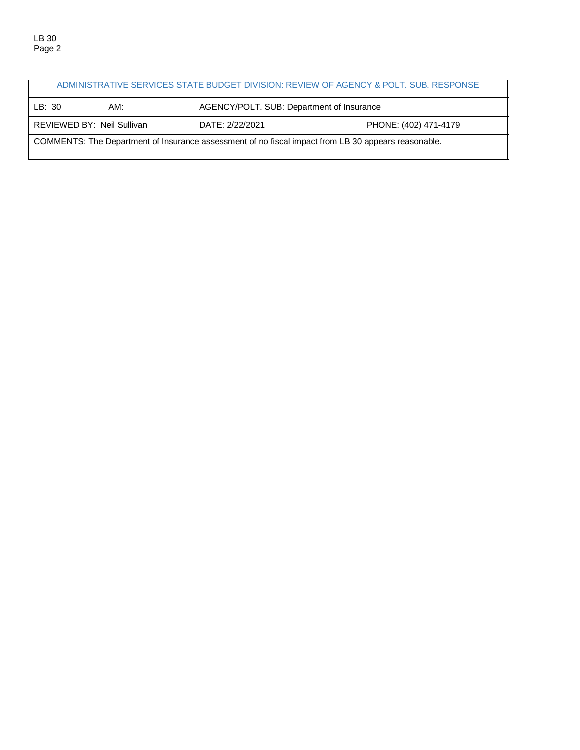| ADMINISTRATIVE SERVICES STATE BUDGET DIVISION: REVIEW OF AGENCY & POLT. SUB. RESPONSE               |                                                                        |                                           |  |  |  |
|-----------------------------------------------------------------------------------------------------|------------------------------------------------------------------------|-------------------------------------------|--|--|--|
| LB:30                                                                                               | AM:                                                                    | AGENCY/POLT. SUB: Department of Insurance |  |  |  |
|                                                                                                     | REVIEWED BY: Neil Sullivan<br>DATE: 2/22/2021<br>PHONE: (402) 471-4179 |                                           |  |  |  |
| COMMENTS: The Department of Insurance assessment of no fiscal impact from LB 30 appears reasonable. |                                                                        |                                           |  |  |  |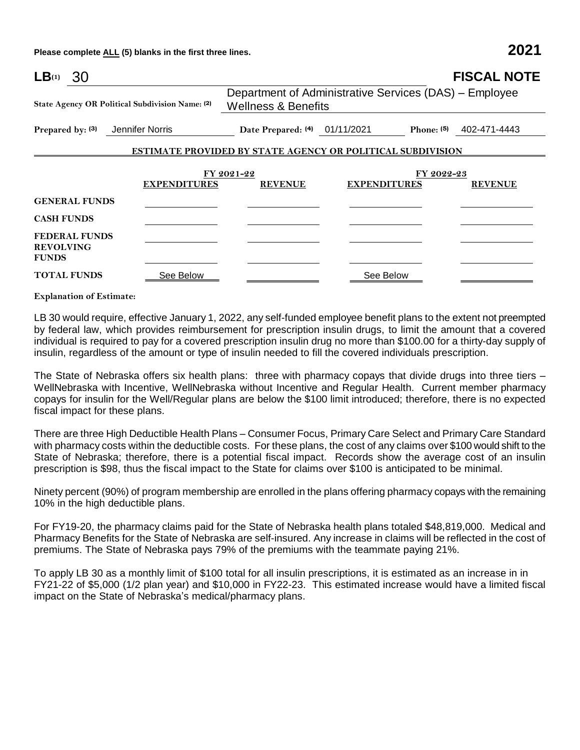**Please complete ALL (5) blanks in the first three lines. 2021**

| $LB^{(1)}$ 30                                            |                                          |                                                                                          | <b>FISCAL NOTE</b>        |  |  |
|----------------------------------------------------------|------------------------------------------|------------------------------------------------------------------------------------------|---------------------------|--|--|
| State Agency OR Political Subdivision Name: (2)          |                                          | Department of Administrative Services (DAS) – Employee<br><b>Wellness &amp; Benefits</b> |                           |  |  |
| Prepared by: (3)<br>Jennifer Norris                      | Date Prepared: <sup>(4)</sup> 01/11/2021 |                                                                                          | Phone: $(5)$ 402-471-4443 |  |  |
|                                                          |                                          | <b>ESTIMATE PROVIDED BY STATE AGENCY OR POLITICAL SUBDIVISION</b>                        |                           |  |  |
| <b>EXPENDITURES</b>                                      | FY 2021-22<br><b>REVENUE</b>             | FY 2022-23<br><b>EXPENDITURES</b>                                                        | <b>REVENUE</b>            |  |  |
| <b>GENERAL FUNDS</b>                                     |                                          |                                                                                          |                           |  |  |
| <b>CASH FUNDS</b>                                        |                                          |                                                                                          |                           |  |  |
| <b>FEDERAL FUNDS</b><br><b>REVOLVING</b><br><b>FUNDS</b> |                                          |                                                                                          |                           |  |  |
| <b>TOTAL FUNDS</b><br><u>See Below</u>                   |                                          | See Below                                                                                |                           |  |  |

**Explanation of Estimate:**

LB 30 would require, effective January 1, 2022, any self-funded employee benefit plans to the extent not preempted by federal law, which provides reimbursement for prescription insulin drugs, to limit the amount that a covered individual is required to pay for a covered prescription insulin drug no more than \$100.00 for a thirty-day supply of insulin, regardless of the amount or type of insulin needed to fill the covered individuals prescription.

The State of Nebraska offers six health plans: three with pharmacy copays that divide drugs into three tiers – WellNebraska with Incentive, WellNebraska without Incentive and Regular Health. Current member pharmacy copays for insulin for the Well/Regular plans are below the \$100 limit introduced; therefore, there is no expected fiscal impact for these plans.

There are three High Deductible Health Plans – Consumer Focus, Primary Care Select and Primary Care Standard with pharmacy costs within the deductible costs. For these plans, the cost of any claims over \$100 would shift to the State of Nebraska; therefore, there is a potential fiscal impact. Records show the average cost of an insulin prescription is \$98, thus the fiscal impact to the State for claims over \$100 is anticipated to be minimal.

Ninety percent (90%) of program membership are enrolled in the plans offering pharmacy copays with the remaining 10% in the high deductible plans.

For FY19-20, the pharmacy claims paid for the State of Nebraska health plans totaled \$48,819,000. Medical and Pharmacy Benefits for the State of Nebraska are self-insured. Any increase in claims will be reflected in the cost of premiums. The State of Nebraska pays 79% of the premiums with the teammate paying 21%.

To apply LB 30 as a monthly limit of \$100 total for all insulin prescriptions, it is estimated as an increase in in FY21-22 of \$5,000 (1/2 plan year) and \$10,000 in FY22-23. This estimated increase would have a limited fiscal impact on the State of Nebraska's medical/pharmacy plans.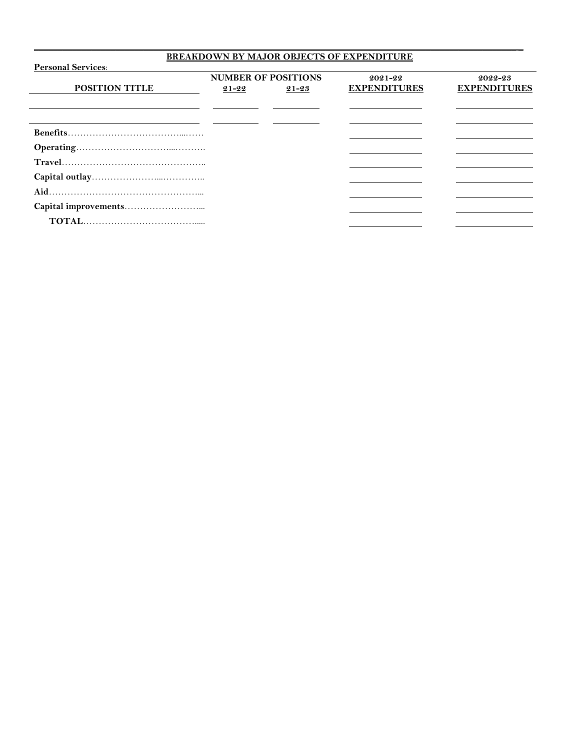## **BREAKDOWN BY MAJOR OBJECTS OF EXPENDITURE**

\_\_\_\_\_\_\_\_\_\_\_\_\_\_\_\_\_\_\_\_\_\_\_\_\_\_\_\_\_\_\_\_\_\_\_\_\_\_\_\_\_\_\_\_\_\_\_\_\_\_\_\_\_\_\_\_\_\_\_\_\_\_\_\_\_\_\_\_\_\_\_\_\_\_\_\_\_\_\_\_\_\_\_\_\_\_\_\_\_\_\_\_\_\_\_\_\_\_\_\_\_ \_

| <b>Personal Services:</b> |                            |           |                     |                     |  |
|---------------------------|----------------------------|-----------|---------------------|---------------------|--|
|                           | <b>NUMBER OF POSITIONS</b> |           | $2021 - 22$         | 2022-23             |  |
| <b>POSITION TITLE</b>     | $21 - 22$                  | $21 - 23$ | <b>EXPENDITURES</b> | <b>EXPENDITURES</b> |  |
|                           |                            |           |                     |                     |  |
|                           |                            |           |                     |                     |  |
|                           |                            |           |                     |                     |  |
|                           |                            |           |                     |                     |  |
|                           |                            |           |                     |                     |  |
|                           |                            |           |                     |                     |  |
|                           |                            |           |                     |                     |  |
|                           |                            |           |                     |                     |  |
|                           |                            |           |                     |                     |  |
|                           |                            |           |                     |                     |  |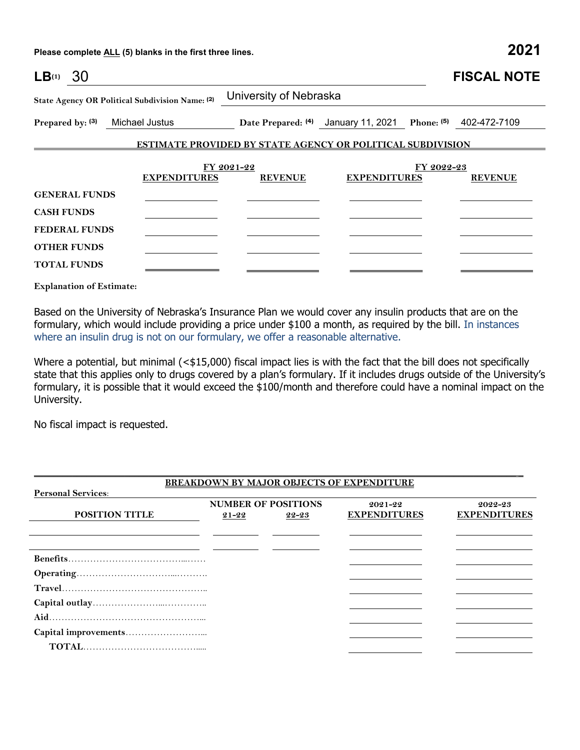**Please complete ALL (5) blanks in the first three lines. 2021**

| $LB^{(1)}$ 30        |                                                 |                                                                   |                                                             |            | <b>FISCAL NOTE</b> |
|----------------------|-------------------------------------------------|-------------------------------------------------------------------|-------------------------------------------------------------|------------|--------------------|
|                      | State Agency OR Political Subdivision Name: (2) | University of Nebraska                                            |                                                             |            |                    |
| Prepared by: (3)     | Michael Justus                                  |                                                                   | Date Prepared: (4) January 11, 2021 Phone: (5) 402-472-7109 |            |                    |
|                      |                                                 | <b>ESTIMATE PROVIDED BY STATE AGENCY OR POLITICAL SUBDIVISION</b> |                                                             |            |                    |
|                      |                                                 | FY 2021-22                                                        |                                                             | FY 2022-23 |                    |
|                      | <b>EXPENDITURES</b>                             | <b>REVENUE</b>                                                    | <b>EXPENDITURES</b>                                         |            | <b>REVENUE</b>     |
| <b>GENERAL FUNDS</b> |                                                 |                                                                   |                                                             |            |                    |
| <b>CASH FUNDS</b>    |                                                 |                                                                   |                                                             |            |                    |
| <b>FEDERAL FUNDS</b> |                                                 |                                                                   |                                                             |            |                    |
| <b>OTHER FUNDS</b>   |                                                 |                                                                   |                                                             |            |                    |
| <b>TOTAL FUNDS</b>   |                                                 |                                                                   |                                                             |            |                    |

**Explanation of Estimate:**

Based on the University of Nebraska's Insurance Plan we would cover any insulin products that are on the formulary, which would include providing a price under \$100 a month, as required by the bill. In instances where an insulin drug is not on our formulary, we offer a reasonable alternative.

Where a potential, but minimal (<\$15,000) fiscal impact lies is with the fact that the bill does not specifically state that this applies only to drugs covered by a plan's formulary. If it includes drugs outside of the University's formulary, it is possible that it would exceed the \$100/month and therefore could have a nominal impact on the University.

No fiscal impact is requested.

|                           |           |                            | <b>BREAKDOWN BY MAJOR OBJECTS OF EXPENDITURE</b> |                     |
|---------------------------|-----------|----------------------------|--------------------------------------------------|---------------------|
| <b>Personal Services:</b> |           |                            |                                                  |                     |
|                           |           | <b>NUMBER OF POSITIONS</b> | $2021 - 22$                                      | 2022-23             |
| <b>POSITION TITLE</b>     | $21 - 22$ | 22-23                      | <b>EXPENDITURES</b>                              | <b>EXPENDITURES</b> |
|                           |           |                            |                                                  |                     |
|                           |           |                            |                                                  |                     |
|                           |           |                            |                                                  |                     |
|                           |           |                            |                                                  |                     |
|                           |           |                            |                                                  |                     |
|                           |           |                            |                                                  |                     |
|                           |           |                            |                                                  |                     |
|                           |           |                            |                                                  |                     |
|                           |           |                            |                                                  |                     |
|                           |           |                            |                                                  |                     |
|                           |           |                            |                                                  |                     |